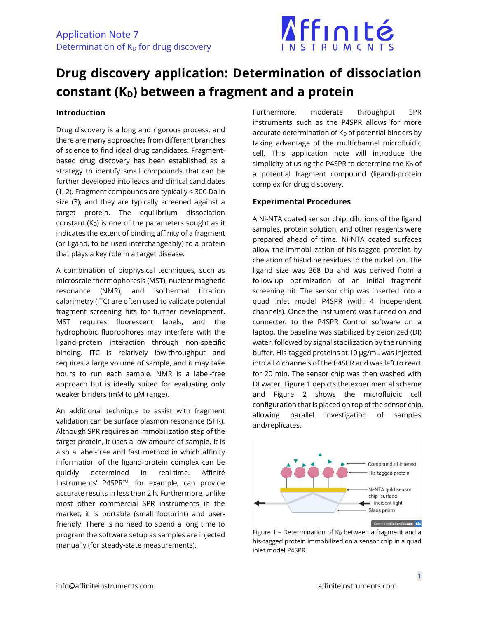

## **Drug discovery application: Determination of dissociation constant (KD) between a fragment and a protein**

## **Introduction**

Drug discovery is a long and rigorous process, and there are many approaches from different branches of science to find ideal drug candidates. Fragmentbased drug discovery has been established as a strategy to identify small compounds that can be further developed into leads and clinical candidates (1, 2). Fragment compounds are typically < 300 Da in size (3), and they are typically screened against a target protein. The equilibrium dissociation constant  $(K_D)$  is one of the parameters sought as it indicates the extent of binding affinity of a fragment (or ligand, to be used interchangeably) to a protein that plays a key role in a target disease.

A combination of biophysical techniques, such as microscale thermophoresis (MST), nuclear magnetic resonance (NMR), and isothermal titration calorimetry (ITC) are often used to validate potential fragment screening hits for further development. MST requires fluorescent labels, and the hydrophobic fluorophores may interfere with the ligand-protein interaction through non-specific binding. ITC is relatively low-throughput and requires a large volume of sample, and it may take hours to run each sample. NMR is a label-free approach but is ideally suited for evaluating only weaker binders (mM to µM range).

An additional technique to assist with fragment validation can be surface plasmon resonance (SPR). Although SPR requires an immobilization step of the target protein, it uses a low amount of sample. It is also a label-free and fast method in which affinity information of the ligand-protein complex can be quickly determined in real-time. Affinité Instruments' P4SPR™, for example, can provide accurate results in less than 2 h. Furthermore, unlike most other commercial SPR instruments in the market, it is portable (small footprint) and userfriendly. There is no need to spend a long time to program the software setup as samples are injected manually (for steady-state measurements).

Furthermore, moderate throughput SPR instruments such as the P4SPR allows for more accurate determination of  $K_D$  of potential binders by taking advantage of the multichannel microfluidic cell. This application note will introduce the simplicity of using the P4SPR to determine the  $K_D$  of a potential fragment compound (ligand)-protein complex for drug discovery.

## **Experimental Procedures**

A Ni-NTA coated sensor chip, dilutions of the ligand samples, protein solution, and other reagents were prepared ahead of time. Ni-NTA coated surfaces allow the immobilization of his-tagged proteins by chelation of histidine residues to the nickel ion. The ligand size was 368 Da and was derived from a follow-up optimization of an initial fragment screening hit. The sensor chip was inserted into a quad inlet model P4SPR (with 4 independent channels). Once the instrument was turned on and connected to the P4SPR Control software on a laptop, the baseline was stabilized by deionized (DI) water, followed by signal stabilization by the running buffer. His-tagged proteins at 10 µg/mL was injected into all 4 channels of the P4SPR and was left to react for 20 min. The sensor chip was then washed with DI water. Figure 1 depicts the experimental scheme and Figure 2 shows the microfluidic cell configuration that is placed on top of the sensor chip, allowing parallel investigation of samples and/replicates.



Figure 1 - Determination of  $K_D$  between a fragment and a his-tagged protein immobilized on a sensor chip in a quad inlet model P4SPR.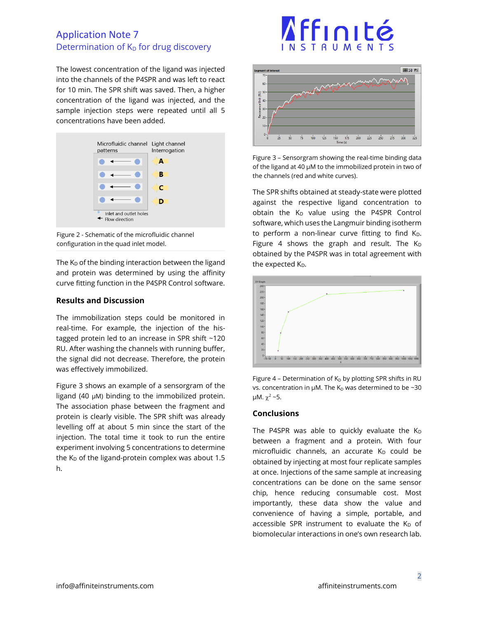## Application Note 7 Determination of  $K_D$  for drug discovery

The lowest concentration of the ligand was injected into the channels of the P4SPR and was left to react for 10 min. The SPR shift was saved. Then, a higher concentration of the ligand was injected, and the sample injection steps were repeated until all 5 concentrations have been added.



Figure 2 - Schematic of the microfluidic channel configuration in the quad inlet model.

The  $K_D$  of the binding interaction between the ligand and protein was determined by using the affinity curve fitting function in the P4SPR Control software.

## **Results and Discussion**

The immobilization steps could be monitored in real-time. For example, the injection of the histagged protein led to an increase in SPR shift ~120 RU. After washing the channels with running buffer, the signal did not decrease. Therefore, the protein was effectively immobilized.

Figure 3 shows an example of a sensorgram of the ligand (40 µM) binding to the immobilized protein. The association phase between the fragment and protein is clearly visible. The SPR shift was already levelling off at about 5 min since the start of the injection. The total time it took to run the entire experiment involving 5 concentrations to determine the  $K_D$  of the ligand-protein complex was about 1.5 h.

# Affinité **RUMEN**



Figure 3 – Sensorgram showing the real-time binding data of the ligand at 40 µM to the immobilized protein in two of the channels (red and white curves).

The SPR shifts obtained at steady-state were plotted against the respective ligand concentration to obtain the  $K_D$  value using the P4SPR Control software, which uses the Langmuir binding isotherm to perform a non-linear curve fitting to find K<sub>D</sub>. Figure 4 shows the graph and result. The  $K_D$ obtained by the P4SPR was in total agreement with the expected K<sub>D</sub>.



Figure 4 – Determination of  $K<sub>D</sub>$  by plotting SPR shifts in RU vs. concentration in  $\mu$ M. The K<sub>D</sub> was determined to be ~30 μM.  $\chi^2$  ~5.

## **Conclusions**

The P4SPR was able to quickly evaluate the  $K_D$ between a fragment and a protein. With four microfluidic channels, an accurate  $K_D$  could be obtained by injecting at most four replicate samples at once. Injections of the same sample at increasing concentrations can be done on the same sensor chip, hence reducing consumable cost. Most importantly, these data show the value and convenience of having a simple, portable, and accessible SPR instrument to evaluate the  $K_D$  of biomolecular interactions in one's own research lab.